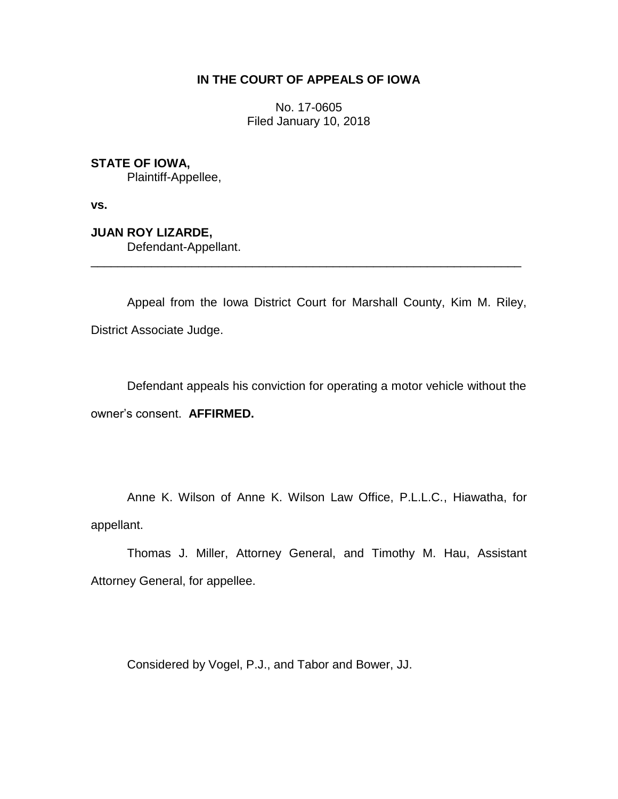# **IN THE COURT OF APPEALS OF IOWA**

No. 17-0605 Filed January 10, 2018

**STATE OF IOWA,**

Plaintiff-Appellee,

**vs.**

**JUAN ROY LIZARDE,** Defendant-Appellant.

Appeal from the Iowa District Court for Marshall County, Kim M. Riley, District Associate Judge.

\_\_\_\_\_\_\_\_\_\_\_\_\_\_\_\_\_\_\_\_\_\_\_\_\_\_\_\_\_\_\_\_\_\_\_\_\_\_\_\_\_\_\_\_\_\_\_\_\_\_\_\_\_\_\_\_\_\_\_\_\_\_\_\_

Defendant appeals his conviction for operating a motor vehicle without the owner's consent. **AFFIRMED.**

Anne K. Wilson of Anne K. Wilson Law Office, P.L.L.C., Hiawatha, for appellant.

Thomas J. Miller, Attorney General, and Timothy M. Hau, Assistant Attorney General, for appellee.

Considered by Vogel, P.J., and Tabor and Bower, JJ.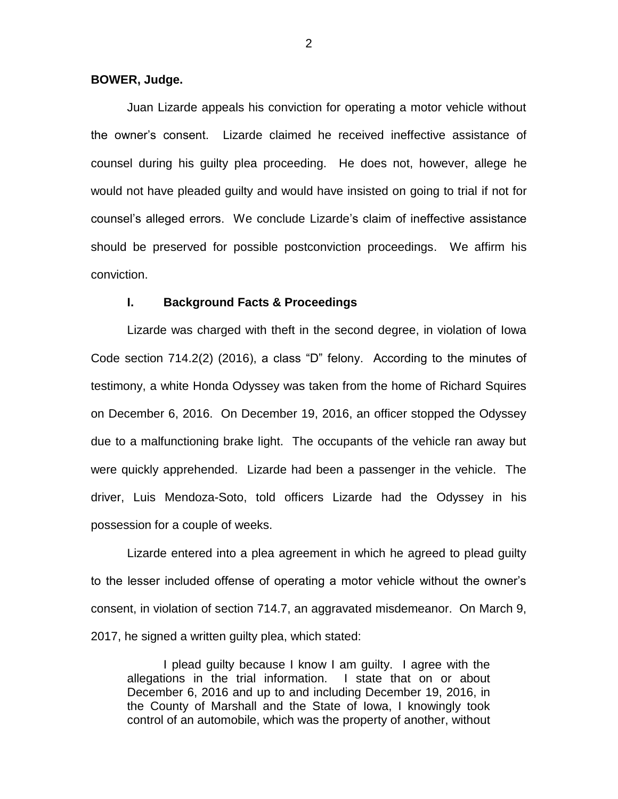#### **BOWER, Judge.**

Juan Lizarde appeals his conviction for operating a motor vehicle without the owner's consent. Lizarde claimed he received ineffective assistance of counsel during his guilty plea proceeding. He does not, however, allege he would not have pleaded guilty and would have insisted on going to trial if not for counsel's alleged errors. We conclude Lizarde's claim of ineffective assistance should be preserved for possible postconviction proceedings. We affirm his conviction.

#### **I. Background Facts & Proceedings**

Lizarde was charged with theft in the second degree, in violation of Iowa Code section 714.2(2) (2016), a class "D" felony. According to the minutes of testimony, a white Honda Odyssey was taken from the home of Richard Squires on December 6, 2016. On December 19, 2016, an officer stopped the Odyssey due to a malfunctioning brake light. The occupants of the vehicle ran away but were quickly apprehended. Lizarde had been a passenger in the vehicle. The driver, Luis Mendoza-Soto, told officers Lizarde had the Odyssey in his possession for a couple of weeks.

Lizarde entered into a plea agreement in which he agreed to plead guilty to the lesser included offense of operating a motor vehicle without the owner's consent, in violation of section 714.7, an aggravated misdemeanor. On March 9, 2017, he signed a written guilty plea, which stated:

I plead guilty because I know I am guilty. I agree with the allegations in the trial information. I state that on or about December 6, 2016 and up to and including December 19, 2016, in the County of Marshall and the State of Iowa, I knowingly took control of an automobile, which was the property of another, without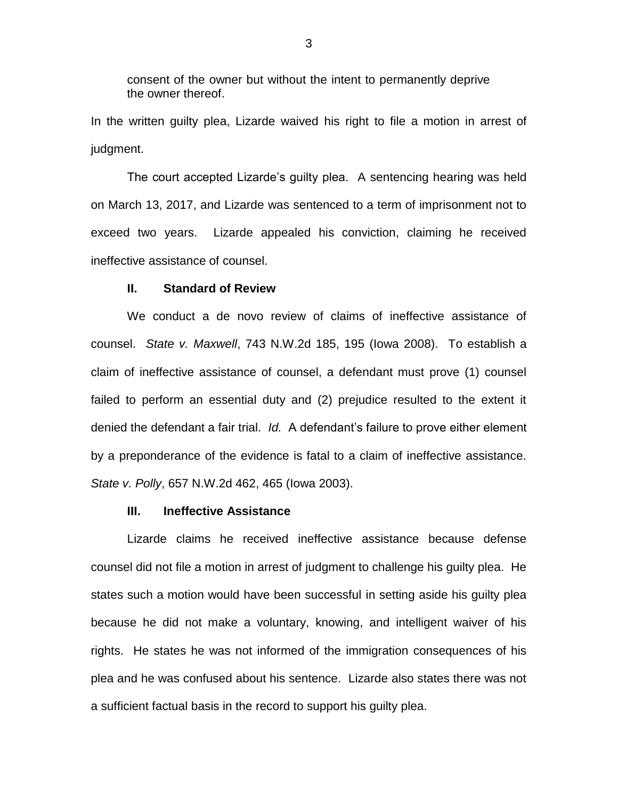consent of the owner but without the intent to permanently deprive the owner thereof.

In the written guilty plea, Lizarde waived his right to file a motion in arrest of judgment.

The court accepted Lizarde's guilty plea. A sentencing hearing was held on March 13, 2017, and Lizarde was sentenced to a term of imprisonment not to exceed two years. Lizarde appealed his conviction, claiming he received ineffective assistance of counsel.

## **II. Standard of Review**

We conduct a de novo review of claims of ineffective assistance of counsel. *State v. Maxwell*, 743 N.W.2d 185, 195 (Iowa 2008). To establish a claim of ineffective assistance of counsel, a defendant must prove (1) counsel failed to perform an essential duty and (2) prejudice resulted to the extent it denied the defendant a fair trial. *Id.* A defendant's failure to prove either element by a preponderance of the evidence is fatal to a claim of ineffective assistance. *State v. Polly*, 657 N.W.2d 462, 465 (Iowa 2003).

## **III. Ineffective Assistance**

Lizarde claims he received ineffective assistance because defense counsel did not file a motion in arrest of judgment to challenge his guilty plea. He states such a motion would have been successful in setting aside his guilty plea because he did not make a voluntary, knowing, and intelligent waiver of his rights. He states he was not informed of the immigration consequences of his plea and he was confused about his sentence. Lizarde also states there was not a sufficient factual basis in the record to support his guilty plea.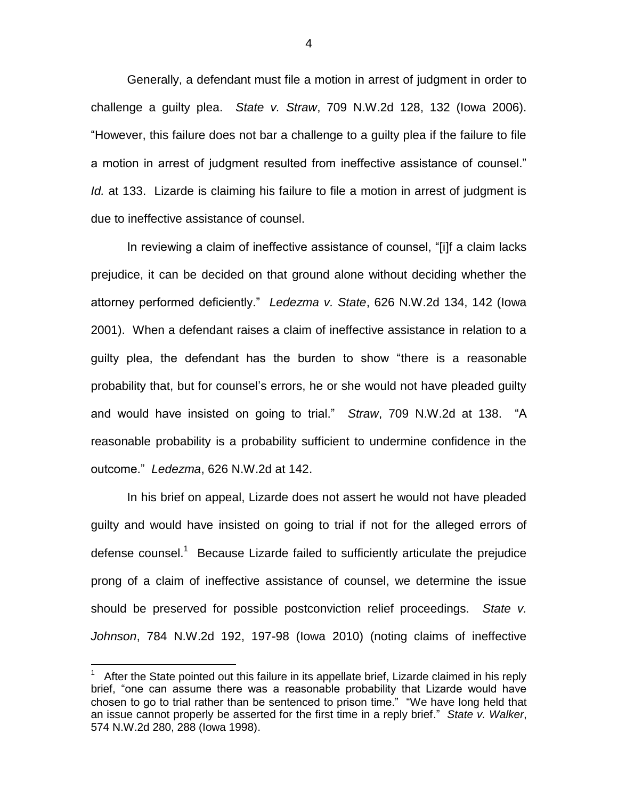Generally, a defendant must file a motion in arrest of judgment in order to challenge a guilty plea. *State v. Straw*, 709 N.W.2d 128, 132 (Iowa 2006). "However, this failure does not bar a challenge to a guilty plea if the failure to file a motion in arrest of judgment resulted from ineffective assistance of counsel." *Id.* at 133. Lizarde is claiming his failure to file a motion in arrest of judgment is due to ineffective assistance of counsel.

In reviewing a claim of ineffective assistance of counsel, "[i]f a claim lacks prejudice, it can be decided on that ground alone without deciding whether the attorney performed deficiently." *Ledezma v. State*, 626 N.W.2d 134, 142 (Iowa 2001). When a defendant raises a claim of ineffective assistance in relation to a guilty plea, the defendant has the burden to show "there is a reasonable probability that, but for counsel's errors, he or she would not have pleaded guilty and would have insisted on going to trial." *Straw*, 709 N.W.2d at 138. "A reasonable probability is a probability sufficient to undermine confidence in the outcome." *Ledezma*, 626 N.W.2d at 142.

In his brief on appeal, Lizarde does not assert he would not have pleaded guilty and would have insisted on going to trial if not for the alleged errors of defense counsel.<sup>1</sup> Because Lizarde failed to sufficiently articulate the prejudice prong of a claim of ineffective assistance of counsel, we determine the issue should be preserved for possible postconviction relief proceedings. *State v. Johnson*, 784 N.W.2d 192, 197-98 (Iowa 2010) (noting claims of ineffective

 $\overline{a}$ 

<sup>1</sup> After the State pointed out this failure in its appellate brief, Lizarde claimed in his reply brief, "one can assume there was a reasonable probability that Lizarde would have chosen to go to trial rather than be sentenced to prison time." "We have long held that an issue cannot properly be asserted for the first time in a reply brief." *State v. Walker*, 574 N.W.2d 280, 288 (Iowa 1998).